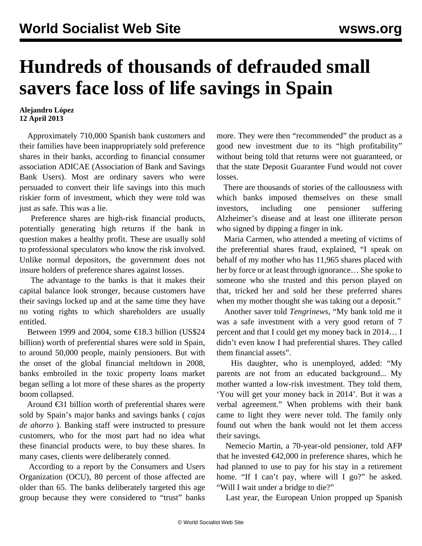## **Hundreds of thousands of defrauded small savers face loss of life savings in Spain**

## **Alejandro López 12 April 2013**

 Approximately 710,000 Spanish bank customers and their families have been inappropriately sold preference shares in their banks, according to financial consumer association ADICAE (Association of Bank and Savings Bank Users). Most are ordinary savers who were persuaded to convert their life savings into this much riskier form of investment, which they were told was just as safe. This was a lie.

 Preference shares are high-risk financial products, potentially generating high returns if the bank in question makes a healthy profit. These are usually sold to professional speculators who know the risk involved. Unlike normal depositors, the government does not insure holders of preference shares against losses.

 The advantage to the banks is that it makes their capital balance look stronger, because customers have their savings locked up and at the same time they have no voting rights to which shareholders are usually entitled.

Between 1999 and 2004, some  $\epsilon$ 18.3 billion (US\$24) billion) worth of preferential shares were sold in Spain, to around 50,000 people, mainly pensioners. But with the onset of the global financial meltdown in 2008, banks embroiled in the toxic property loans market began selling a lot more of these shares as the property boom collapsed.

 Around €31 billion worth of preferential shares were sold by Spain's major banks and savings banks ( *cajas de ahorro* ). Banking staff were instructed to pressure customers, who for the most part had no idea what these financial products were, to buy these shares. In many cases, clients were deliberately conned.

 According to a report by the Consumers and Users Organization (OCU), 80 percent of those affected are older than 65. The banks deliberately targeted this age group because they were considered to "trust" banks

more. They were then "recommended" the product as a good new investment due to its "high profitability" without being told that returns were not guaranteed, or that the state Deposit Guarantee Fund would not cover losses.

 There are thousands of stories of the callousness with which banks imposed themselves on these small investors, including one pensioner suffering Alzheimer's disease and at least one illiterate person who signed by dipping a finger in ink.

 Maria Carmen, who attended a meeting of victims of the preferential shares fraud, explained, "I speak on behalf of my mother who has 11,965 shares placed with her by force or at least through ignorance… She spoke to someone who she trusted and this person played on that, tricked her and sold her these preferred shares when my mother thought she was taking out a deposit."

 Another saver told *Tengrinews*, "My bank told me it was a safe investment with a very good return of 7 percent and that I could get my money back in 2014… I didn't even know I had preferential shares. They called them financial assets".

 His daughter, who is unemployed, added: "My parents are not from an educated background... My mother wanted a low-risk investment. They told them, 'You will get your money back in 2014'. But it was a verbal agreement." When problems with their bank came to light they were never told. The family only found out when the bank would not let them access their savings.

 Nemecio Martin, a 70-year-old pensioner, told AFP that he invested  $\epsilon$ 42,000 in preference shares, which he had planned to use to pay for his stay in a retirement home. "If I can't pay, where will I go?" he asked. "Will I wait under a bridge to die?"

Last year, the European Union propped up Spanish